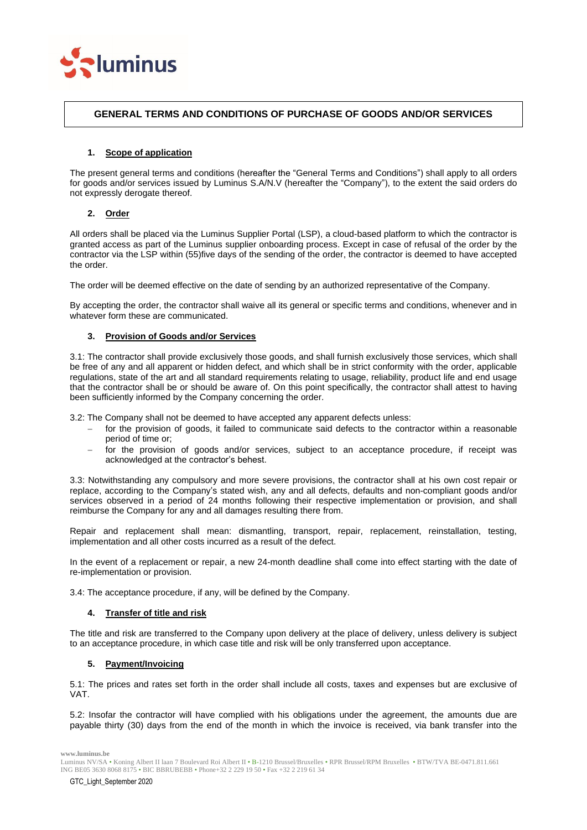

## **GENERAL TERMS AND CONDITIONS OF PURCHASE OF GOODS AND/OR SERVICES**

## **1. Scope of application**

The present general terms and conditions (hereafter the "General Terms and Conditions") shall apply to all orders for goods and/or services issued by Luminus S.A/N.V (hereafter the "Company"), to the extent the said orders do not expressly derogate thereof.

## **2. Order**

All orders shall be placed via the Luminus Supplier Portal (LSP), a cloud-based platform to which the contractor is granted access as part of the Luminus supplier onboarding process. Except in case of refusal of the order by the contractor via the LSP within (55)five days of the sending of the order, the contractor is deemed to have accepted the order.

The order will be deemed effective on the date of sending by an authorized representative of the Company.

By accepting the order, the contractor shall waive all its general or specific terms and conditions, whenever and in whatever form these are communicated.

## **3. Provision of Goods and/or Services**

3.1: The contractor shall provide exclusively those goods, and shall furnish exclusively those services, which shall be free of any and all apparent or hidden defect, and which shall be in strict conformity with the order, applicable regulations, state of the art and all standard requirements relating to usage, reliability, product life and end usage that the contractor shall be or should be aware of. On this point specifically, the contractor shall attest to having been sufficiently informed by the Company concerning the order.

3.2: The Company shall not be deemed to have accepted any apparent defects unless:

- for the provision of goods, it failed to communicate said defects to the contractor within a reasonable period of time or;
- − for the provision of goods and/or services, subject to an acceptance procedure, if receipt was acknowledged at the contractor's behest.

3.3: Notwithstanding any compulsory and more severe provisions, the contractor shall at his own cost repair or replace, according to the Company's stated wish, any and all defects, defaults and non-compliant goods and/or services observed in a period of 24 months following their respective implementation or provision, and shall reimburse the Company for any and all damages resulting there from.

Repair and replacement shall mean: dismantling, transport, repair, replacement, reinstallation, testing, implementation and all other costs incurred as a result of the defect.

In the event of a replacement or repair, a new 24-month deadline shall come into effect starting with the date of re-implementation or provision.

3.4: The acceptance procedure, if any, will be defined by the Company.

## **4. Transfer of title and risk**

The title and risk are transferred to the Company upon delivery at the place of delivery, unless delivery is subject to an acceptance procedure, in which case title and risk will be only transferred upon acceptance.

## **5. Payment/Invoicing**

5.1: The prices and rates set forth in the order shall include all costs, taxes and expenses but are exclusive of VAT.

5.2: Insofar the contractor will have complied with his obligations under the agreement, the amounts due are payable thirty (30) days from the end of the month in which the invoice is received, via bank transfer into the

Luminus NV/SA • Koning Albert II laan 7 Boulevard Roi Albert II • B-1210 Brussel/Bruxelles • RPR Brussel/RPM Bruxelles • BTW/TVA BE-0471.811.661 ING BE05 3630 8068 8175 • BIC BBRUBEBB • Phone+32 2 229 19 50 • Fax +32 2 219 61 34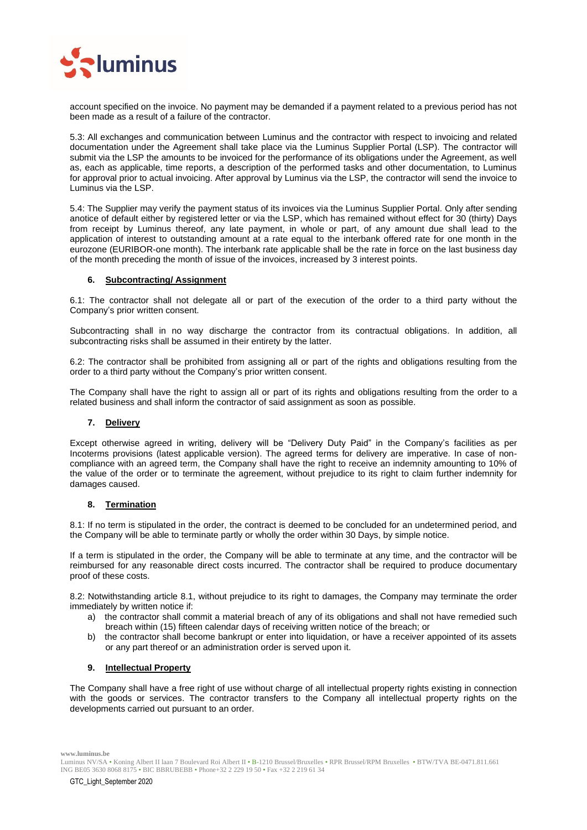

account specified on the invoice. No payment may be demanded if a payment related to a previous period has not been made as a result of a failure of the contractor.

5.3: All exchanges and communication between Luminus and the contractor with respect to invoicing and related documentation under the Agreement shall take place via the Luminus Supplier Portal (LSP). The contractor will submit via the LSP the amounts to be invoiced for the performance of its obligations under the Agreement, as well as, each as applicable, time reports, a description of the performed tasks and other documentation, to Luminus for approval prior to actual invoicing. After approval by Luminus via the LSP, the contractor will send the invoice to Luminus via the LSP.

5.4: The Supplier may verify the payment status of its invoices via the Luminus Supplier Portal. Only after sending anotice of default either by registered letter or via the LSP, which has remained without effect for 30 (thirty) Days from receipt by Luminus thereof, any late payment, in whole or part, of any amount due shall lead to the application of interest to outstanding amount at a rate equal to the interbank offered rate for one month in the eurozone (EURIBOR-one month). The interbank rate applicable shall be the rate in force on the last business day of the month preceding the month of issue of the invoices, increased by 3 interest points.

## **6. Subcontracting/ Assignment**

6.1: The contractor shall not delegate all or part of the execution of the order to a third party without the Company's prior written consent.

Subcontracting shall in no way discharge the contractor from its contractual obligations. In addition, all subcontracting risks shall be assumed in their entirety by the latter.

6.2: The contractor shall be prohibited from assigning all or part of the rights and obligations resulting from the order to a third party without the Company's prior written consent.

The Company shall have the right to assign all or part of its rights and obligations resulting from the order to a related business and shall inform the contractor of said assignment as soon as possible.

## **7. Delivery**

Except otherwise agreed in writing, delivery will be "Delivery Duty Paid" in the Company's facilities as per Incoterms provisions (latest applicable version). The agreed terms for delivery are imperative. In case of noncompliance with an agreed term, the Company shall have the right to receive an indemnity amounting to 10% of the value of the order or to terminate the agreement, without prejudice to its right to claim further indemnity for damages caused.

## **8. Termination**

8.1: If no term is stipulated in the order, the contract is deemed to be concluded for an undetermined period, and the Company will be able to terminate partly or wholly the order within 30 Days, by simple notice.

If a term is stipulated in the order, the Company will be able to terminate at any time, and the contractor will be reimbursed for any reasonable direct costs incurred. The contractor shall be required to produce documentary proof of these costs.

8.2: Notwithstanding article 8.1, without prejudice to its right to damages, the Company may terminate the order immediately by written notice if:

- a) the contractor shall commit a material breach of any of its obligations and shall not have remedied such breach within (15) fifteen calendar days of receiving written notice of the breach; or
- b) the contractor shall become bankrupt or enter into liquidation, or have a receiver appointed of its assets or any part thereof or an administration order is served upon it.

## **9. Intellectual Property**

The Company shall have a free right of use without charge of all intellectual property rights existing in connection with the goods or services. The contractor transfers to the Company all intellectual property rights on the developments carried out pursuant to an order.

Luminus NV/SA • Koning Albert II laan 7 Boulevard Roi Albert II • B-1210 Brussel/Bruxelles • RPR Brussel/RPM Bruxelles • BTW/TVA BE-0471.811.661 ING BE05 3630 8068 8175 • BIC BBRUBEBB • Phone+32 2 229 19 50 • Fax +32 2 219 61 34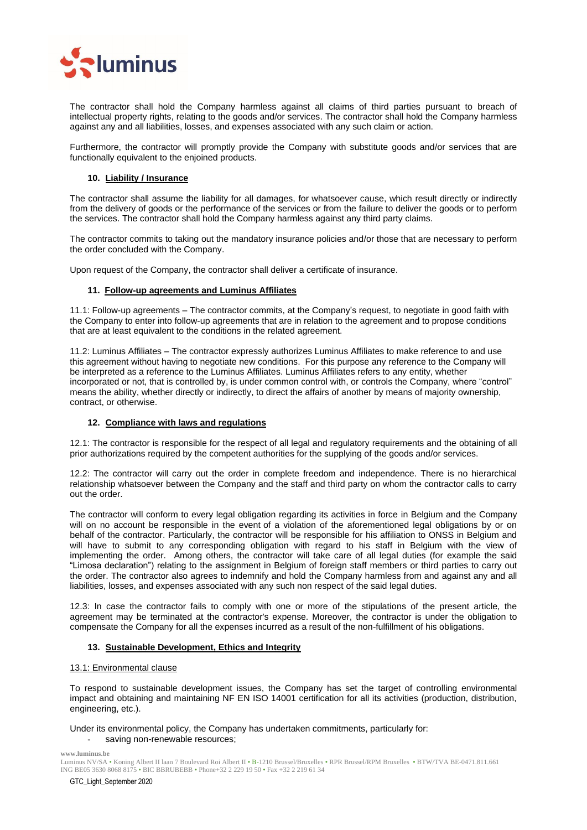

The contractor shall hold the Company harmless against all claims of third parties pursuant to breach of intellectual property rights, relating to the goods and/or services. The contractor shall hold the Company harmless against any and all liabilities, losses, and expenses associated with any such claim or action.

Furthermore, the contractor will promptly provide the Company with substitute goods and/or services that are functionally equivalent to the enjoined products.

## **10. Liability / Insurance**

The contractor shall assume the liability for all damages, for whatsoever cause, which result directly or indirectly from the delivery of goods or the performance of the services or from the failure to deliver the goods or to perform the services. The contractor shall hold the Company harmless against any third party claims.

The contractor commits to taking out the mandatory insurance policies and/or those that are necessary to perform the order concluded with the Company.

Upon request of the Company, the contractor shall deliver a certificate of insurance.

## **11. Follow-up agreements and Luminus Affiliates**

11.1: Follow-up agreements – The contractor commits, at the Company's request, to negotiate in good faith with the Company to enter into follow-up agreements that are in relation to the agreement and to propose conditions that are at least equivalent to the conditions in the related agreement.

11.2: Luminus Affiliates – The contractor expressly authorizes Luminus Affiliates to make reference to and use this agreement without having to negotiate new conditions. For this purpose any reference to the Company will be interpreted as a reference to the Luminus Affiliates. Luminus Affiliates refers to any entity, whether incorporated or not, that is controlled by, is under common control with, or controls the Company, where "control" means the ability, whether directly or indirectly, to direct the affairs of another by means of majority ownership, contract, or otherwise.

## **12. Compliance with laws and regulations**

12.1: The contractor is responsible for the respect of all legal and regulatory requirements and the obtaining of all prior authorizations required by the competent authorities for the supplying of the goods and/or services.

12.2: The contractor will carry out the order in complete freedom and independence. There is no hierarchical relationship whatsoever between the Company and the staff and third party on whom the contractor calls to carry out the order.

The contractor will conform to every legal obligation regarding its activities in force in Belgium and the Company will on no account be responsible in the event of a violation of the aforementioned legal obligations by or on behalf of the contractor. Particularly, the contractor will be responsible for his affiliation to ONSS in Belgium and will have to submit to any corresponding obligation with regard to his staff in Belgium with the view of implementing the order. Among others, the contractor will take care of all legal duties (for example the said "Limosa declaration") relating to the assignment in Belgium of foreign staff members or third parties to carry out the order. The contractor also agrees to indemnify and hold the Company harmless from and against any and all liabilities, losses, and expenses associated with any such non respect of the said legal duties.

12.3: In case the contractor fails to comply with one or more of the stipulations of the present article, the agreement may be terminated at the contractor's expense. Moreover, the contractor is under the obligation to compensate the Company for all the expenses incurred as a result of the non-fulfillment of his obligations.

## **13. Sustainable Development, Ethics and Integrity**

## 13.1: Environmental clause

To respond to sustainable development issues, the Company has set the target of controlling environmental impact and obtaining and maintaining NF EN ISO 14001 certification for all its activities (production, distribution, engineering, etc.).

# Under its environmental policy, the Company has undertaken commitments, particularly for:

saving non-renewable resources;

**www.luminus.be**

Luminus NV/SA • Koning Albert II laan 7 Boulevard Roi Albert II • B-1210 Brussel/Bruxelles • RPR Brussel/RPM Bruxelles • BTW/TVA BE-0471.811.661 ING BE05 3630 8068 8175 • BIC BBRUBEBB • Phone+32 2 229 19 50 • Fax +32 2 219 61 34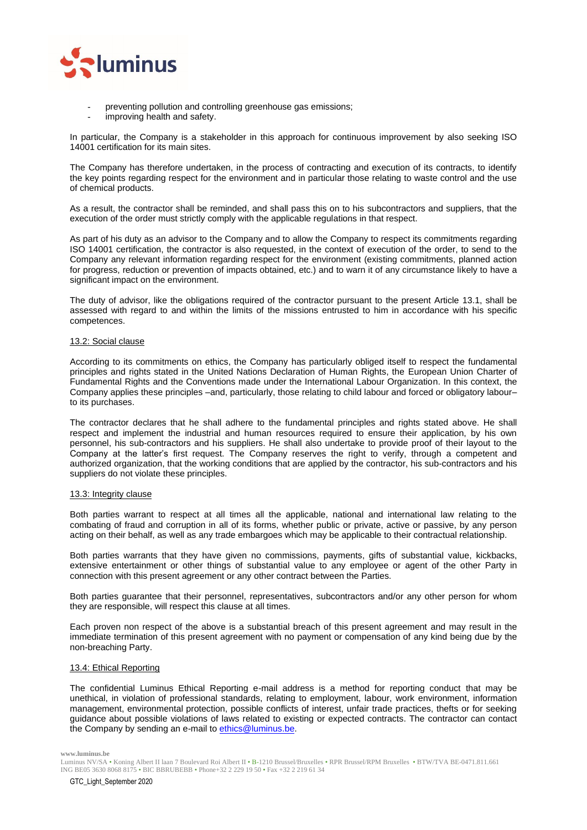

- preventing pollution and controlling greenhouse gas emissions;
- improving health and safety.

In particular, the Company is a stakeholder in this approach for continuous improvement by also seeking ISO 14001 certification for its main sites.

The Company has therefore undertaken, in the process of contracting and execution of its contracts, to identify the key points regarding respect for the environment and in particular those relating to waste control and the use of chemical products.

As a result, the contractor shall be reminded, and shall pass this on to his subcontractors and suppliers, that the execution of the order must strictly comply with the applicable regulations in that respect.

As part of his duty as an advisor to the Company and to allow the Company to respect its commitments regarding ISO 14001 certification, the contractor is also requested, in the context of execution of the order, to send to the Company any relevant information regarding respect for the environment (existing commitments, planned action for progress, reduction or prevention of impacts obtained, etc.) and to warn it of any circumstance likely to have a significant impact on the environment.

The duty of advisor, like the obligations required of the contractor pursuant to the present Article 13.1, shall be assessed with regard to and within the limits of the missions entrusted to him in accordance with his specific competences.

## 13.2: Social clause

According to its commitments on ethics, the Company has particularly obliged itself to respect the fundamental principles and rights stated in the United Nations Declaration of Human Rights, the European Union Charter of Fundamental Rights and the Conventions made under the International Labour Organization. In this context, the Company applies these principles –and, particularly, those relating to child labour and forced or obligatory labour– to its purchases.

The contractor declares that he shall adhere to the fundamental principles and rights stated above. He shall respect and implement the industrial and human resources required to ensure their application, by his own personnel, his sub-contractors and his suppliers. He shall also undertake to provide proof of their layout to the Company at the latter's first request. The Company reserves the right to verify, through a competent and authorized organization, that the working conditions that are applied by the contractor, his sub-contractors and his suppliers do not violate these principles.

#### 13.3: Integrity clause

Both parties warrant to respect at all times all the applicable, national and international law relating to the combating of fraud and corruption in all of its forms, whether public or private, active or passive, by any person acting on their behalf, as well as any trade embargoes which may be applicable to their contractual relationship.

Both parties warrants that they have given no commissions, payments, gifts of substantial value, kickbacks, extensive entertainment or other things of substantial value to any employee or agent of the other Party in connection with this present agreement or any other contract between the Parties.

Both parties guarantee that their personnel, representatives, subcontractors and/or any other person for whom they are responsible, will respect this clause at all times.

Each proven non respect of the above is a substantial breach of this present agreement and may result in the immediate termination of this present agreement with no payment or compensation of any kind being due by the non-breaching Party.

## 13.4: Ethical Reporting

The confidential Luminus Ethical Reporting e-mail address is a method for reporting conduct that may be unethical, in violation of professional standards, relating to employment, labour, work environment, information management, environmental protection, possible conflicts of interest, unfair trade practices, thefts or for seeking guidance about possible violations of laws related to existing or expected contracts. The contractor can contact the Company by sending an e-mail t[o ethics@luminus.be.](mailto:ethics@luminus.be)

Luminus NV/SA • Koning Albert II laan 7 Boulevard Roi Albert II • B-1210 Brussel/Bruxelles • RPR Brussel/RPM Bruxelles • BTW/TVA BE-0471.811.661 ING BE05 3630 8068 8175 • BIC BBRUBEBB • Phone+32 2 229 19 50 • Fax +32 2 219 61 34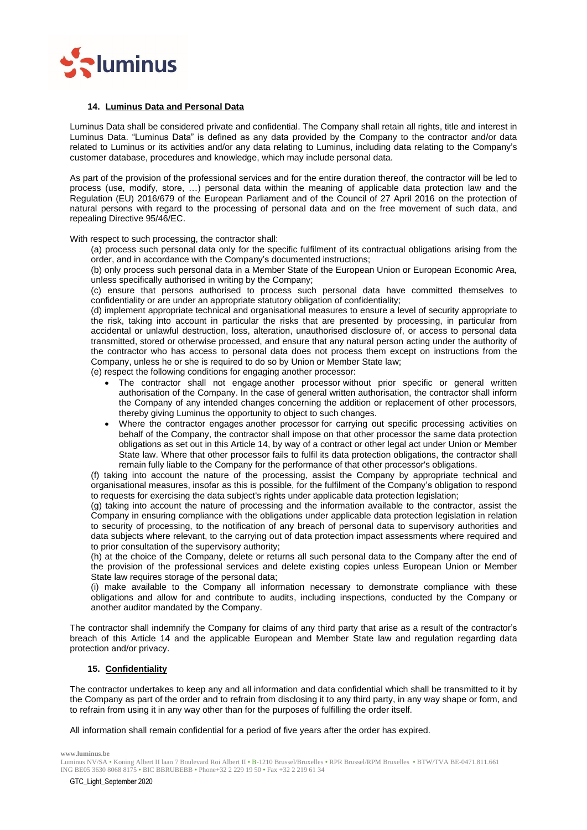

#### **14. Luminus Data and Personal Data**

Luminus Data shall be considered private and confidential. The Company shall retain all rights, title and interest in Luminus Data. "Luminus Data" is defined as any data provided by the Company to the contractor and/or data related to Luminus or its activities and/or any data relating to Luminus, including data relating to the Company's customer database, procedures and knowledge, which may include personal data.

As part of the provision of the professional services and for the entire duration thereof, the contractor will be led to process (use, modify, store, …) personal data within the meaning of applicable data protection law and the Regulation (EU) 2016/679 of the European Parliament and of the Council of 27 April 2016 on the protection of natural persons with regard to the processing of personal data and on the free movement of such data, and repealing Directive 95/46/EC.

With respect to such processing, the contractor shall:

(a) process such personal data only for the specific fulfilment of its contractual obligations arising from the order, and in accordance with the Company's documented instructions;

(b) only process such personal data in a Member State of the European Union or European Economic Area, unless specifically authorised in writing by the Company;

(c) ensure that persons authorised to process such personal data have committed themselves to confidentiality or are under an appropriate statutory obligation of confidentiality;

(d) implement appropriate technical and organisational measures to ensure a level of security appropriate to the risk, taking into account in particular the risks that are presented by processing, in particular from accidental or unlawful destruction, loss, alteration, unauthorised disclosure of, or access to personal data transmitted, stored or otherwise processed, and ensure that any natural person acting under the authority of the contractor who has access to personal data does not process them except on instructions from the Company, unless he or she is required to do so by Union or Member State law;

(e) respect the following conditions for engaging another processor:

- The contractor shall not engage another processor without prior specific or general written authorisation of the Company. In the case of general written authorisation, the contractor shall inform the Company of any intended changes concerning the addition or replacement of other processors, thereby giving Luminus the opportunity to object to such changes.
- Where the contractor engages another processor for carrying out specific processing activities on behalf of the Company, the contractor shall impose on that other processor the same data protection obligations as set out in this Article 14, by way of a contract or other legal act under Union or Member State law. Where that other processor fails to fulfil its data protection obligations, the contractor shall remain fully liable to the Company for the performance of that other processor's obligations.

(f) taking into account the nature of the processing, assist the Company by appropriate technical and organisational measures, insofar as this is possible, for the fulfilment of the Company's obligation to respond to requests for exercising the data subject's rights under applicable data protection legislation;

(g) taking into account the nature of processing and the information available to the contractor, assist the Company in ensuring compliance with the obligations under applicable data protection legislation in relation to security of processing, to the notification of any breach of personal data to supervisory authorities and data subjects where relevant, to the carrying out of data protection impact assessments where required and to prior consultation of the supervisory authority;

(h) at the choice of the Company, delete or returns all such personal data to the Company after the end of the provision of the professional services and delete existing copies unless European Union or Member State law requires storage of the personal data;

(i) make available to the Company all information necessary to demonstrate compliance with these obligations and allow for and contribute to audits, including inspections, conducted by the Company or another auditor mandated by the Company.

The contractor shall indemnify the Company for claims of any third party that arise as a result of the contractor's breach of this Article 14 and the applicable European and Member State law and regulation regarding data protection and/or privacy.

## **15. Confidentiality**

The contractor undertakes to keep any and all information and data confidential which shall be transmitted to it by the Company as part of the order and to refrain from disclosing it to any third party, in any way shape or form, and to refrain from using it in any way other than for the purposes of fulfilling the order itself.

All information shall remain confidential for a period of five years after the order has expired.

Luminus NV/SA • Koning Albert II laan 7 Boulevard Roi Albert II • B-1210 Brussel/Bruxelles • RPR Brussel/RPM Bruxelles • BTW/TVA BE-0471.811.661 ING BE05 3630 8068 8175 • BIC BBRUBEBB • Phone+32 2 229 19 50 • Fax +32 2 219 61 34